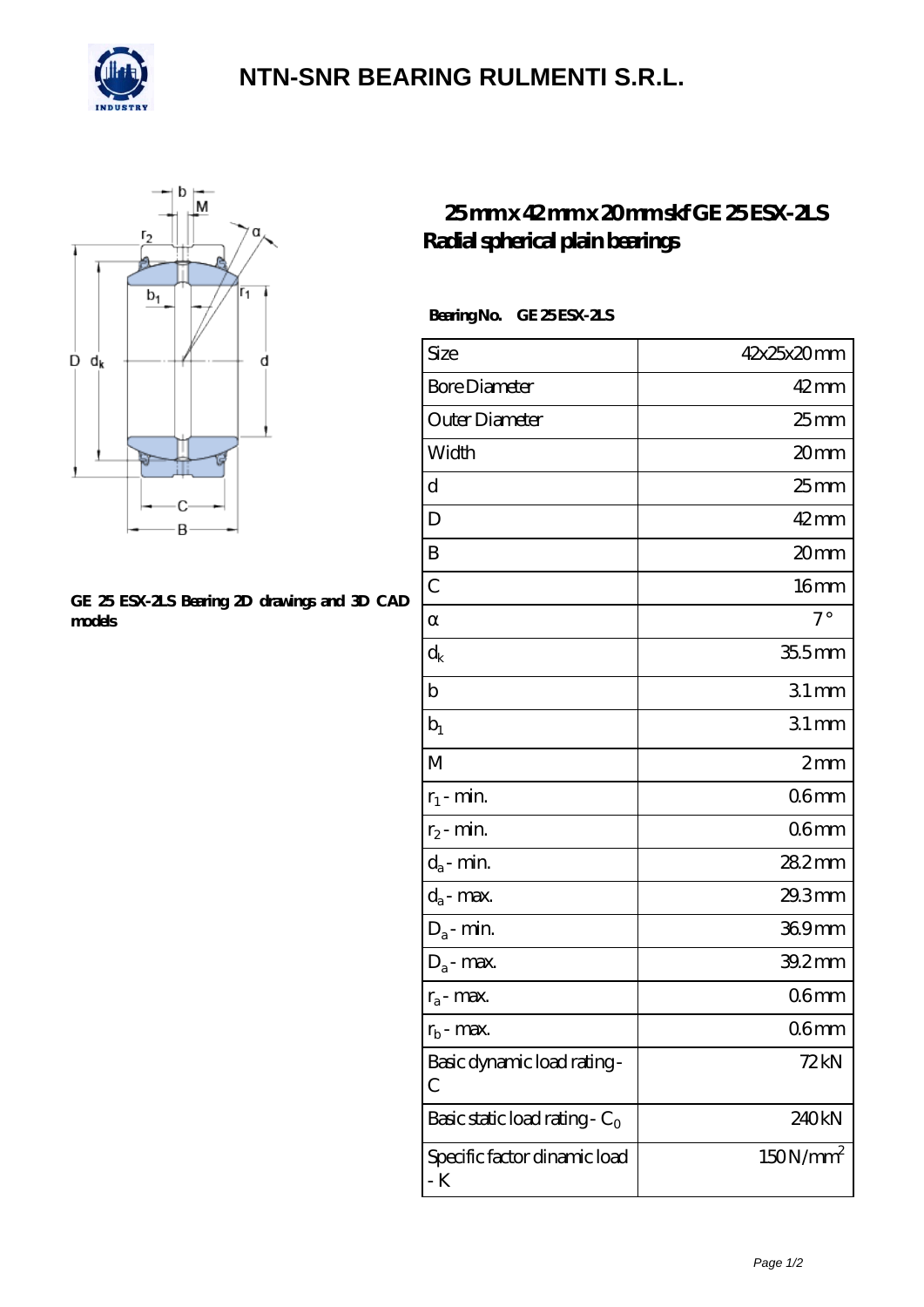

## **[NTN-SNR BEARING RULMENTI S.R.L.](https://m.confidencemenimprov.com)**



#### **[GE 25 ESX-2LS Bearing 2D drawings and 3D CAD](https://m.confidencemenimprov.com/pic-64975174.html) [models](https://m.confidencemenimprov.com/pic-64975174.html)**

### **[25 mm x 42 mm x 20 mm skf GE 25 ESX-2LS](https://m.confidencemenimprov.com/am-64975174-skf-ge-25-esx-2ls-radial-spherical-plain-bearings.html) [Radial spherical plain bearings](https://m.confidencemenimprov.com/am-64975174-skf-ge-25-esx-2ls-radial-spherical-plain-bearings.html)**

### **Bearing No. GE 25 ESX-2LS**

| Size                                | 42x25x20mm           |
|-------------------------------------|----------------------|
| <b>Bore Diameter</b>                | $42$ mm              |
| Outer Diameter                      | 25 mm                |
| Width                               | 20mm                 |
| d                                   | $25$ mm              |
| D                                   | $42 \text{mm}$       |
| B                                   | 20mm                 |
| $\overline{C}$                      | 16 <sub>mm</sub>     |
|                                     | $7^\circ$            |
| $\mathrm{d}_{\mathrm{k}}$           | $355$ mm             |
| $\mathbf b$                         | 31mm                 |
| $b_1$                               | 31mm                 |
| M                                   | 2mm                  |
| $r_1$ - min.                        | 06 <sub>mm</sub>     |
| $r_2$ - min.                        | 06mm                 |
| $d_{\!a}\text{-}\min$               | 282mm                |
| $d_a$ - max.                        | 29.3mm               |
| $D_a$ - min.                        | 369mm                |
| $D_a$ - max.                        | 39.2mm               |
| $r_a$ - max.                        | 06mm                 |
| $r_{b}$ - max.                      | 06mm                 |
| Basic dynamic load rating-<br>С     | 72 kN                |
| Basic static load rating - $C_0$    | 240kN                |
| Specific factor dinamic load<br>- K | 150N/mm <sup>2</sup> |